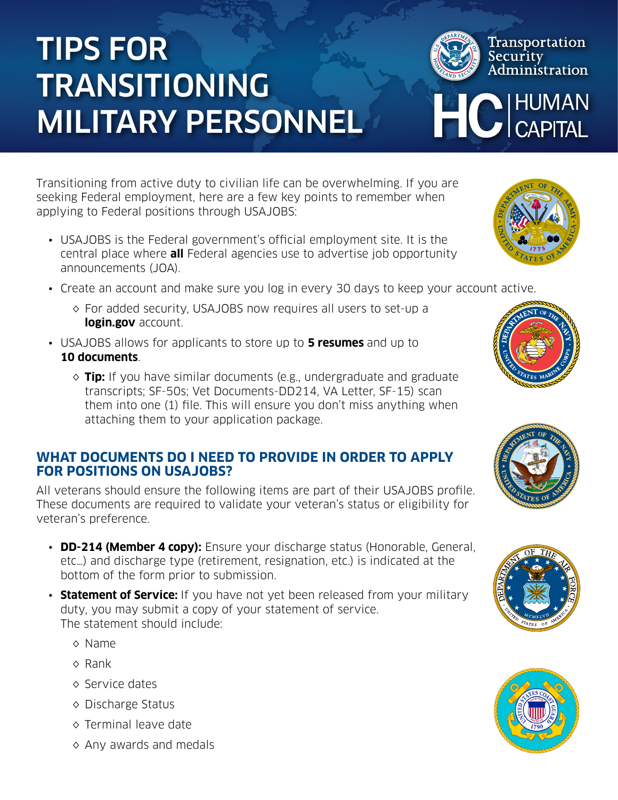# TIPS FOR TRANSITIONING MILITARY PERSONNEL

Transitioning from active duty to civilian life can be overwhelming. If you are seeking Federal employment, here are a few key points to remember when applying to Federal positions through USAJOBS:

- USAJOBS is the Federal government's official employment site. It is the central place where **all** Federal agencies use to advertise job opportunity announcements (JOA).
- Create an account and make sure you log in every 30 days to keep your account active.
	- ◊ For added security, USAJOBS now requires all users to set-up a **login.gov** account.
- USAJOBS allows for applicants to store up to **5 resumes** and up to **10 documents**.
	- ◊ **Tip:** If you have similar documents (e.g., undergraduate and graduate transcripts; SF-50s; Vet Documents-DD214, VA Letter, SF-15) scan them into one (1) file. This will ensure you don't miss anything when attaching them to your application package.

### **WHAT DOCUMENTS DO I NEED TO PROVIDE IN ORDER TO APPLY FOR POSITIONS ON USAJOBS?**

All veterans should ensure the following items are part of their USAJOBS profile. These documents are required to validate your veteran's status or eligibility for veteran's preference.

- **DD-214 (Member 4 copy):** Ensure your discharge status (Honorable, General, etc…) and discharge type (retirement, resignation, etc.) is indicated at the bottom of the form prior to submission.
- **Statement of Service:** If you have not yet been released from your military duty, you may submit a copy of your statement of service. The statement should include:
	- ◊ Name
	- ◊ Rank
	- ◊ Service dates
	- ◊ Discharge Status
	- ◊ Terminal leave date
	- ◊ Any awards and medals



**HO HUMAN**